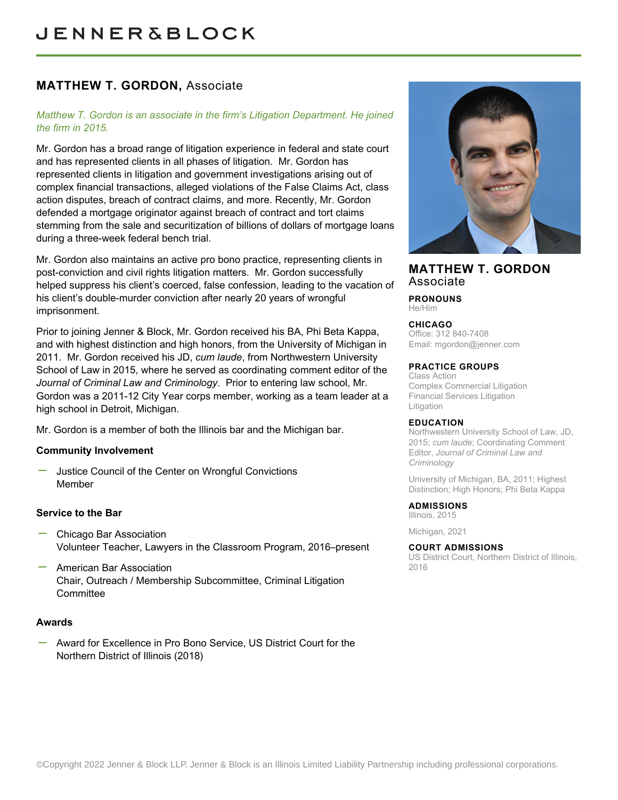# **MATTHEW T. GORDON,** Associate

### *Matthew T. Gordon is an associate in the firm's Litigation Department. He joined the firm in 2015.*

Mr. Gordon has a broad range of litigation experience in federal and state court and has represented clients in all phases of litigation. Mr. Gordon has represented clients in litigation and government investigations arising out of complex financial transactions, alleged violations of the False Claims Act, class action disputes, breach of contract claims, and more. Recently, Mr. Gordon defended a mortgage originator against breach of contract and tort claims stemming from the sale and securitization of billions of dollars of mortgage loans during a three-week federal bench trial.

Mr. Gordon also maintains an active pro bono practice, representing clients in post-conviction and civil rights litigation matters. Mr. Gordon successfully helped suppress his client's coerced, false confession, leading to the vacation of his client's double-murder conviction after nearly 20 years of wrongful imprisonment.

Prior to joining Jenner & Block, Mr. Gordon received his BA, Phi Beta Kappa, and with highest distinction and high honors, from the University of Michigan in 2011. Mr. Gordon received his JD, *cum laude*, from Northwestern University School of Law in 2015, where he served as coordinating comment editor of the *Journal of Criminal Law and Criminology*. Prior to entering law school, Mr. Gordon was a 2011-12 City Year corps member, working as a team leader at a high school in Detroit, Michigan.

Mr. Gordon is a member of both the Illinois bar and the Michigan bar.

### **Community Involvement**

Justice Council of the Center on Wrongful Convictions Member

### **Service to the Bar**

- Chicago Bar Association Volunteer Teacher, Lawyers in the Classroom Program, 2016–present
- American Bar Association Chair, Outreach / Membership Subcommittee, Criminal Litigation **Committee**

### **Awards**

Award for Excellence in Pro Bono Service, US District Court for the Northern District of Illinois (2018)



## **MATTHEW T. GORDON** Associate

**PRONOUNS** He/Him

#### **CHICAGO**

Office: 312 840-7408 Email: [mgordon@jenner.com](mailto:mgordon@jenner.com)

#### **PRACTICE GROUPS**

Class Action Complex Commercial Litigation Financial Services Litigation Litigation

#### **EDUCATION**

Northwestern University School of Law, JD, 2015; *cum laude*; Coordinating Comment Editor, *Journal of Criminal Law and Criminology*

University of Michigan, BA, 2011; Highest Distinction; High Honors; Phi Beta Kappa

#### **ADMISSIONS** Illinois, 2015

Michigan, 2021

#### **COURT ADMISSIONS**

US District Court, Northern District of Illinois, 2016